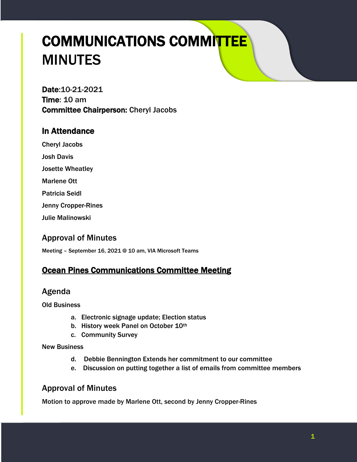# COMMUNICATIONS COMMITTEE MINUTES

Date:10-21-2021 Time: 10 am Committee Chairperson: Cheryl Jacobs

## In Attendance

Cheryl Jacobs

Josh Davis

Josette Wheatley

Marlene Ott

Patricia Seidl

Jenny Cropper-Rines

Julie Malinowski

## Approval of Minutes

Meeting – September 16, 2021 @ 10 am, VIA Microsoft Teams

## **Ocean Pines Communications Committee Meeting**

## Agenda

Old Business

- a. Electronic signage update; Election status
- b. History week Panel on October 10th
- c. Community Survey

New Business

- d. Debbie Bennington Extends her commitment to our committee
- e. Discussion on putting together a list of emails from committee members

## Approval of Minutes

Motion to approve made by Marlene Ott, second by Jenny Cropper-Rines